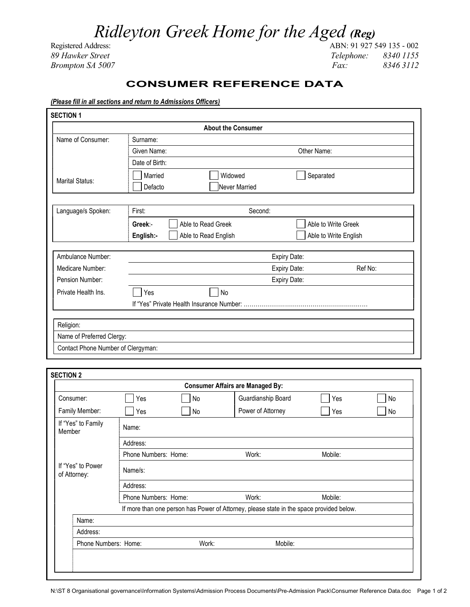## Ridleyton Greek Home for the Aged (Reg)

Registered Address: ABN: 91 927 549 135 - 002 89 Hawker Street Telephone: 8340 1155 Brompton SA 5007 Fax: 8346 3112

## CONSUMER REFERENCE DATA

## (Please fill in all sections and return to Admissions Officers)

|                                    |                   | <b>About the Consumer</b>                 |              |                       |
|------------------------------------|-------------------|-------------------------------------------|--------------|-----------------------|
| Name of Consumer:                  | Surname:          |                                           |              |                       |
|                                    | Given Name:       |                                           | Other Name:  |                       |
|                                    | Date of Birth:    |                                           |              |                       |
|                                    | Married           | Widowed                                   | Separated    |                       |
| <b>Marital Status:</b>             | Defacto           | Never Married                             |              |                       |
|                                    |                   |                                           |              |                       |
| Language/s Spoken:                 | Second:<br>First: |                                           |              |                       |
|                                    | Greek:-           | Able to Read Greek                        |              | Able to Write Greek   |
|                                    | English:-         | Able to Read English                      |              | Able to Write English |
|                                    |                   |                                           |              |                       |
| Ambulance Number:                  |                   |                                           | Expiry Date: |                       |
| Medicare Number:                   |                   |                                           | Expiry Date: | Ref No:               |
| Pension Number:                    |                   |                                           | Expiry Date: |                       |
| Private Health Ins.                | Yes               | No                                        |              |                       |
|                                    |                   | If "Yes" Private Health Insurance Number: |              |                       |
|                                    |                   |                                           |              |                       |
| Religion:                          |                   |                                           |              |                       |
| Name of Preferred Clergy:          |                   |                                           |              |                       |
| Contact Phone Number of Clergyman: |                   |                                           |              |                       |

|                                   |                      |       | <b>Consumer Affairs are Managed By:</b>                                                  |         |    |
|-----------------------------------|----------------------|-------|------------------------------------------------------------------------------------------|---------|----|
| Consumer:                         | Yes                  | No    | Guardianship Board                                                                       | Yes     | No |
| Family Member:                    | Yes                  | No    | Power of Attorney                                                                        | Yes     | No |
| If "Yes" to Family<br>Member      | Name:                |       |                                                                                          |         |    |
|                                   | Address:             |       |                                                                                          |         |    |
|                                   | Phone Numbers: Home: |       | Work:                                                                                    | Mobile: |    |
| If "Yes" to Power<br>of Attorney: | Name/s:              |       |                                                                                          |         |    |
|                                   | Address:             |       |                                                                                          |         |    |
|                                   | Phone Numbers: Home: |       | Work:                                                                                    | Mobile: |    |
|                                   |                      |       | If more than one person has Power of Attorney, please state in the space provided below. |         |    |
| Name:                             |                      |       |                                                                                          |         |    |
| Address:                          |                      |       |                                                                                          |         |    |
| Phone Numbers: Home:              |                      | Work: | Mobile:                                                                                  |         |    |